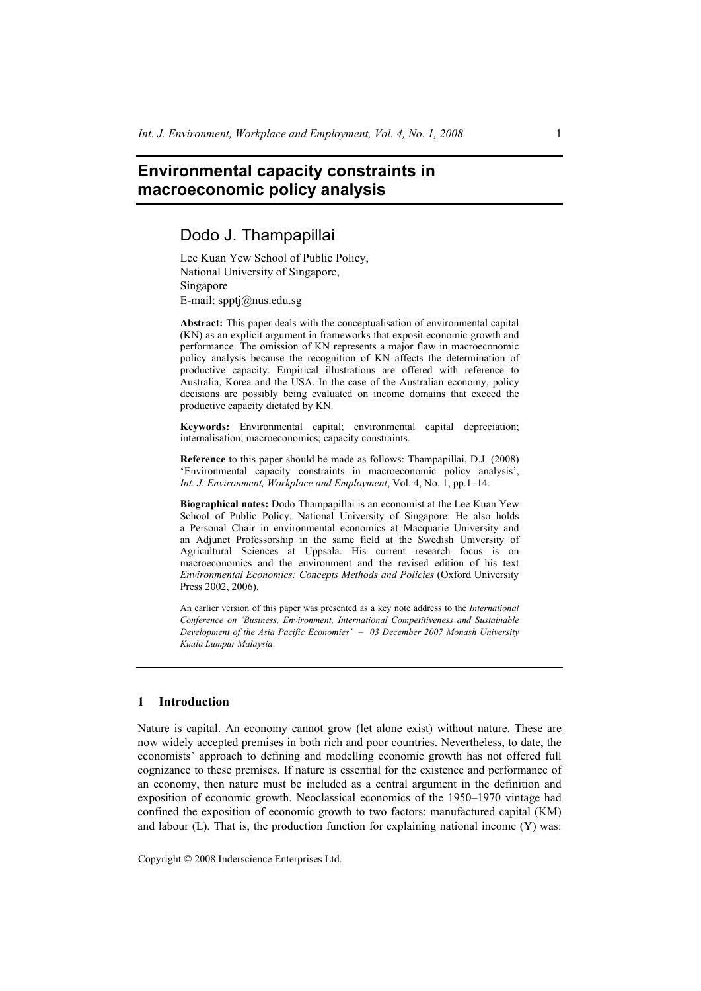# **Environmental capacity constraints in macroeconomic policy analysis**

## Dodo J. Thampapillai

Lee Kuan Yew School of Public Policy, National University of Singapore, Singapore E-mail: spptj@nus.edu.sg

**Abstract:** This paper deals with the conceptualisation of environmental capital (KN) as an explicit argument in frameworks that exposit economic growth and performance. The omission of KN represents a major flaw in macroeconomic policy analysis because the recognition of KN affects the determination of productive capacity. Empirical illustrations are offered with reference to Australia, Korea and the USA. In the case of the Australian economy, policy decisions are possibly being evaluated on income domains that exceed the productive capacity dictated by KN.

**Keywords:** Environmental capital; environmental capital depreciation; internalisation; macroeconomics; capacity constraints.

**Reference** to this paper should be made as follows: Thampapillai, D.J. (2008) 'Environmental capacity constraints in macroeconomic policy analysis', *Int. J. Environment, Workplace and Employment*, Vol. 4, No. 1, pp.1–14.

**Biographical notes:** Dodo Thampapillai is an economist at the Lee Kuan Yew School of Public Policy, National University of Singapore. He also holds a Personal Chair in environmental economics at Macquarie University and an Adjunct Professorship in the same field at the Swedish University of Agricultural Sciences at Uppsala. His current research focus is on macroeconomics and the environment and the revised edition of his text *Environmental Economics: Concepts Methods and Policies* (Oxford University Press 2002, 2006).

An earlier version of this paper was presented as a key note address to the *International Conference on 'Business, Environment, International Competitiveness and Sustainable Development of the Asia Pacific Economies' – 03 December 2007 Monash University Kuala Lumpur Malaysia*.

## **1 Introduction**

Nature is capital. An economy cannot grow (let alone exist) without nature. These are now widely accepted premises in both rich and poor countries. Nevertheless, to date, the economists' approach to defining and modelling economic growth has not offered full cognizance to these premises. If nature is essential for the existence and performance of an economy, then nature must be included as a central argument in the definition and exposition of economic growth. Neoclassical economics of the 1950–1970 vintage had confined the exposition of economic growth to two factors: manufactured capital (KM) and labour (L). That is, the production function for explaining national income  $(Y)$  was:

Copyright © 2008 Inderscience Enterprises Ltd.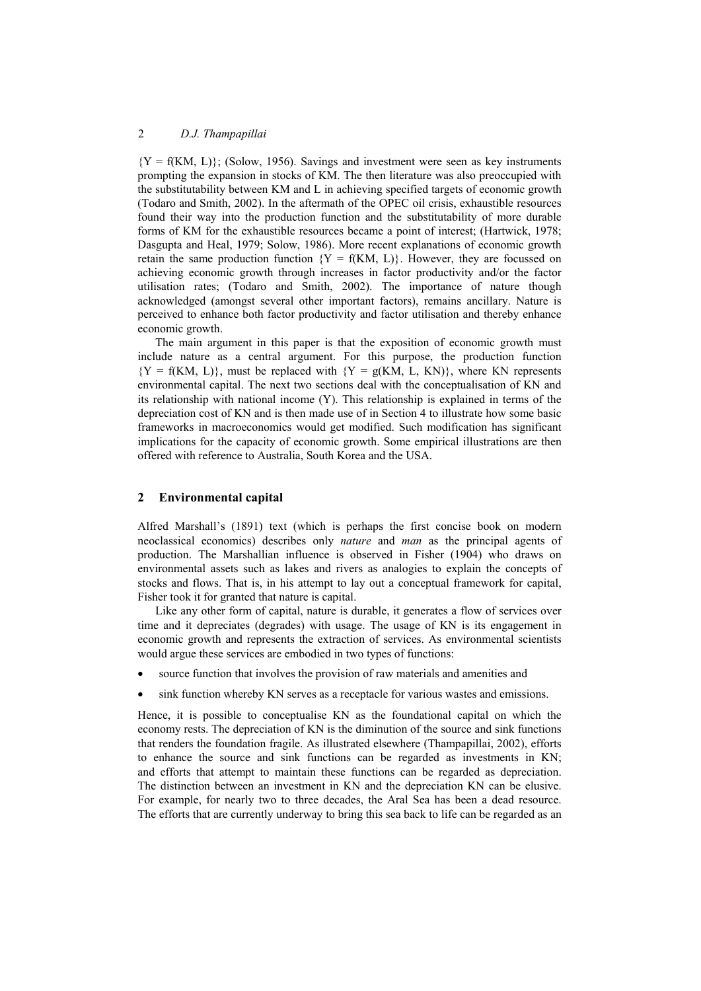${Y = f(KM, L)}$ ; (Solow, 1956). Savings and investment were seen as key instruments prompting the expansion in stocks of KM. The then literature was also preoccupied with the substitutability between KM and L in achieving specified targets of economic growth (Todaro and Smith, 2002). In the aftermath of the OPEC oil crisis, exhaustible resources found their way into the production function and the substitutability of more durable forms of KM for the exhaustible resources became a point of interest; (Hartwick, 1978; Dasgupta and Heal, 1979; Solow, 1986). More recent explanations of economic growth retain the same production function  ${Y = f(KM, L)}$ . However, they are focussed on achieving economic growth through increases in factor productivity and/or the factor utilisation rates; (Todaro and Smith, 2002). The importance of nature though acknowledged (amongst several other important factors), remains ancillary. Nature is perceived to enhance both factor productivity and factor utilisation and thereby enhance economic growth.

The main argument in this paper is that the exposition of economic growth must include nature as a central argument. For this purpose, the production function  ${Y = f(KM, L)}$ , must be replaced with  ${Y = g(KM, L, KN)}$ , where KN represents environmental capital. The next two sections deal with the conceptualisation of KN and its relationship with national income (Y). This relationship is explained in terms of the depreciation cost of KN and is then made use of in Section 4 to illustrate how some basic frameworks in macroeconomics would get modified. Such modification has significant implications for the capacity of economic growth. Some empirical illustrations are then offered with reference to Australia, South Korea and the USA.

## **2 Environmental capital**

Alfred Marshall's (1891) text (which is perhaps the first concise book on modern neoclassical economics) describes only *nature* and *man* as the principal agents of production. The Marshallian influence is observed in Fisher (1904) who draws on environmental assets such as lakes and rivers as analogies to explain the concepts of stocks and flows. That is, in his attempt to lay out a conceptual framework for capital, Fisher took it for granted that nature is capital.

Like any other form of capital, nature is durable, it generates a flow of services over time and it depreciates (degrades) with usage. The usage of KN is its engagement in economic growth and represents the extraction of services. As environmental scientists would argue these services are embodied in two types of functions:

- source function that involves the provision of raw materials and amenities and
- sink function whereby KN serves as a receptacle for various wastes and emissions.

Hence, it is possible to conceptualise KN as the foundational capital on which the economy rests. The depreciation of KN is the diminution of the source and sink functions that renders the foundation fragile. As illustrated elsewhere (Thampapillai, 2002), efforts to enhance the source and sink functions can be regarded as investments in KN; and efforts that attempt to maintain these functions can be regarded as depreciation. The distinction between an investment in KN and the depreciation KN can be elusive. For example, for nearly two to three decades, the Aral Sea has been a dead resource. The efforts that are currently underway to bring this sea back to life can be regarded as an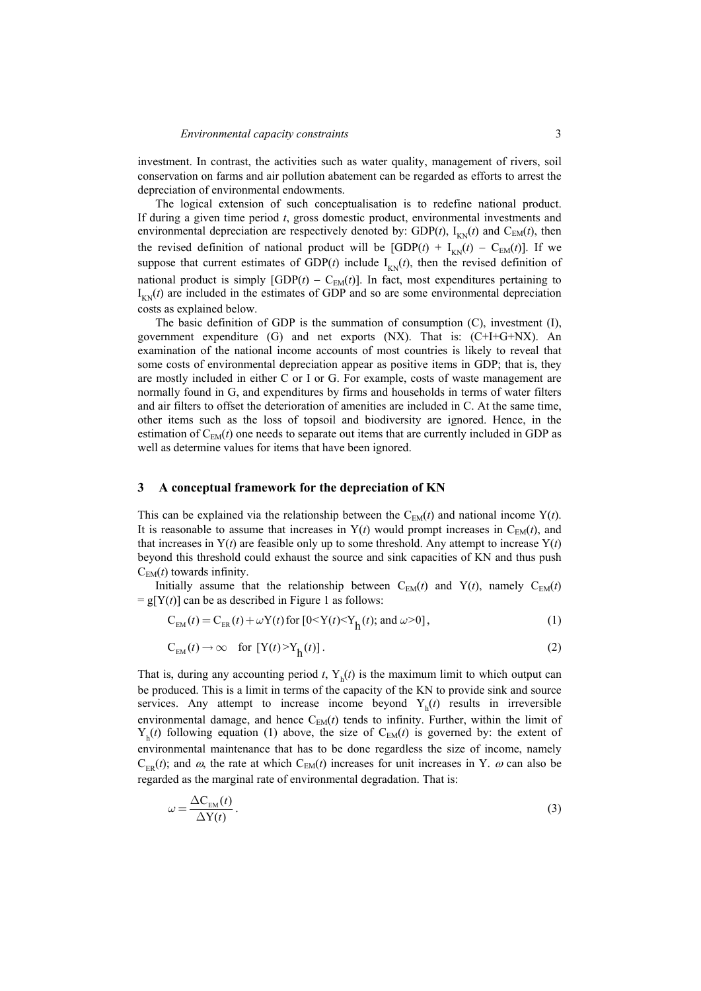investment. In contrast, the activities such as water quality, management of rivers, soil conservation on farms and air pollution abatement can be regarded as efforts to arrest the depreciation of environmental endowments.

The logical extension of such conceptualisation is to redefine national product. If during a given time period *t*, gross domestic product, environmental investments and environmental depreciation are respectively denoted by: GDP(*t*),  $I_{KN}(t)$  and  $C_{EM}(t)$ , then the revised definition of national product will be  $[GDP(t) + I_{KN}(t) - C_{EM}(t)]$ . If we suppose that current estimates of GDP(*t*) include  $I_{KN}(t)$ , then the revised definition of national product is simply  $[GDP(t) - C_{FM}(t)]$ . In fact, most expenditures pertaining to  $I_{KN}(t)$  are included in the estimates of GDP and so are some environmental depreciation costs as explained below.

The basic definition of GDP is the summation of consumption (C), investment (I), government expenditure (G) and net exports (NX). That is: (C+I+G+NX). An examination of the national income accounts of most countries is likely to reveal that some costs of environmental depreciation appear as positive items in GDP; that is, they are mostly included in either C or I or G. For example, costs of waste management are normally found in G, and expenditures by firms and households in terms of water filters and air filters to offset the deterioration of amenities are included in C. At the same time, other items such as the loss of topsoil and biodiversity are ignored. Hence, in the estimation of  $C_{EM}(t)$  one needs to separate out items that are currently included in GDP as well as determine values for items that have been ignored.

#### **3 A conceptual framework for the depreciation of KN**

This can be explained via the relationship between the  $C_{EM}(t)$  and national income  $Y(t)$ . It is reasonable to assume that increases in  $Y(t)$  would prompt increases in  $C_{EM}(t)$ , and that increases in  $Y(t)$  are feasible only up to some threshold. Any attempt to increase  $Y(t)$ beyond this threshold could exhaust the source and sink capacities of KN and thus push  $C_{EM}(t)$  towards infinity.

Initially assume that the relationship between  $C_{EM}(t)$  and  $Y(t)$ , namely  $C_{EM}(t)$  $= g[Y(t)]$  can be as described in Figure 1 as follows:

$$
C_{EM}(t) = C_{ER}(t) + \omega Y(t) \text{ for } [0 \le Y(t) \le Y_h(t); \text{ and } \omega > 0], \tag{1}
$$

$$
C_{EM}(t) \to \infty \quad \text{for } [Y(t) > Y_h(t)]. \tag{2}
$$

That is, during any accounting period  $t$ ,  $Y<sub>h</sub>(t)$  is the maximum limit to which output can be produced. This is a limit in terms of the capacity of the KN to provide sink and source services. Any attempt to increase income beyond  $Y<sub>h</sub>(t)$  results in irreversible environmental damage, and hence  $C_{EM}(t)$  tends to infinity. Further, within the limit of  $Y<sub>h</sub>(t)$  following equation (1) above, the size of C<sub>EM</sub>(*t*) is governed by: the extent of environmental maintenance that has to be done regardless the size of income, namely  $C_{FR}(t)$ ; and  $\omega$ , the rate at which  $C_{EM}(t)$  increases for unit increases in Y.  $\omega$  can also be regarded as the marginal rate of environmental degradation. That is:

$$
\omega = \frac{\Delta C_{\text{EM}}(t)}{\Delta Y(t)}.
$$
\n(3)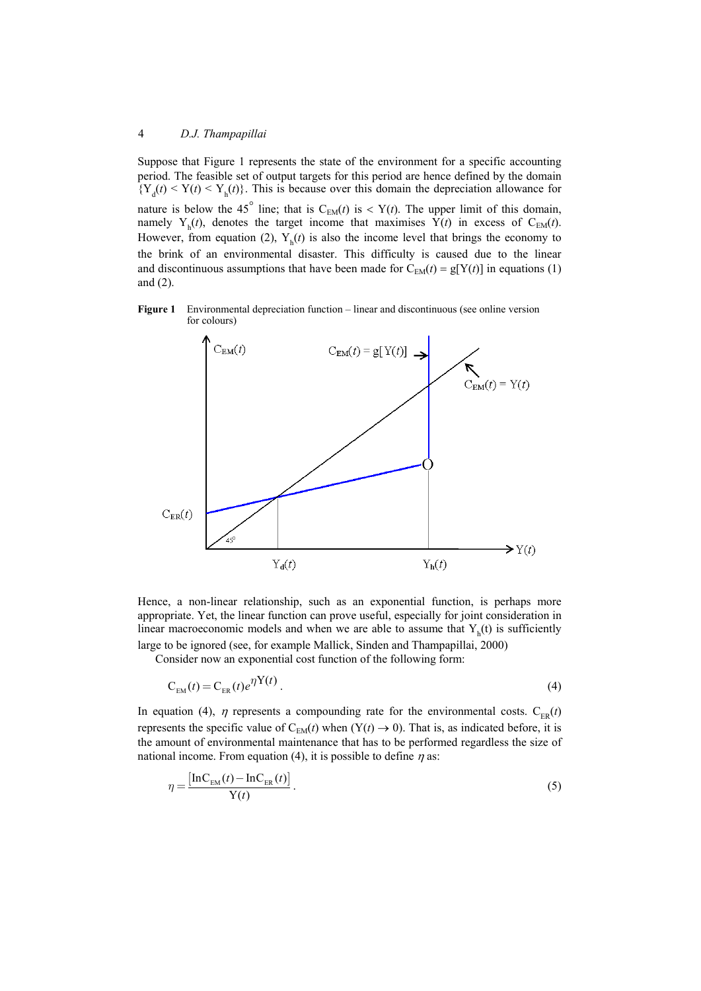Suppose that Figure 1 represents the state of the environment for a specific accounting period. The feasible set of output targets for this period are hence defined by the domain  ${Y_d(t) \le Y(t) \le Y_h(t)}$ . This is because over this domain the depreciation allowance for nature is below the 45<sup>°</sup> line; that is  $C_{EM}(t)$  is < Y(*t*). The upper limit of this domain, namely  $Y_h(t)$ , denotes the target income that maximises  $Y(t)$  in excess of  $C_{EM}(t)$ . However, from equation (2),  $Y<sub>h</sub>(t)$  is also the income level that brings the economy to the brink of an environmental disaster. This difficulty is caused due to the linear and discontinuous assumptions that have been made for  $C_{EM}(t) = g[Y(t)]$  in equations (1) and (2).

#### **Figure 1** Environmental depreciation function – linear and discontinuous (see online version for colours)



Hence, a non-linear relationship, such as an exponential function, is perhaps more appropriate. Yet, the linear function can prove useful, especially for joint consideration in linear macroeconomic models and when we are able to assume that  $Y_h(t)$  is sufficiently large to be ignored (see, for example Mallick, Sinden and Thampapillai, 2000)

Consider now an exponential cost function of the following form:

$$
C_{EM}(t) = C_{ER}(t)e^{\eta Y(t)}.
$$
\n(4)

In equation (4),  $\eta$  represents a compounding rate for the environmental costs.  $C_{FR}(t)$ represents the specific value of  $C_{EM}(t)$  when  $(Y(t) \rightarrow 0)$ . That is, as indicated before, it is the amount of environmental maintenance that has to be performed regardless the size of national income. From equation (4), it is possible to define  $\eta$  as:

$$
\eta = \frac{\left[\text{InC}_{\text{EM}}(t) - \text{InC}_{\text{ER}}(t)\right]}{Y(t)}.
$$
\n(5)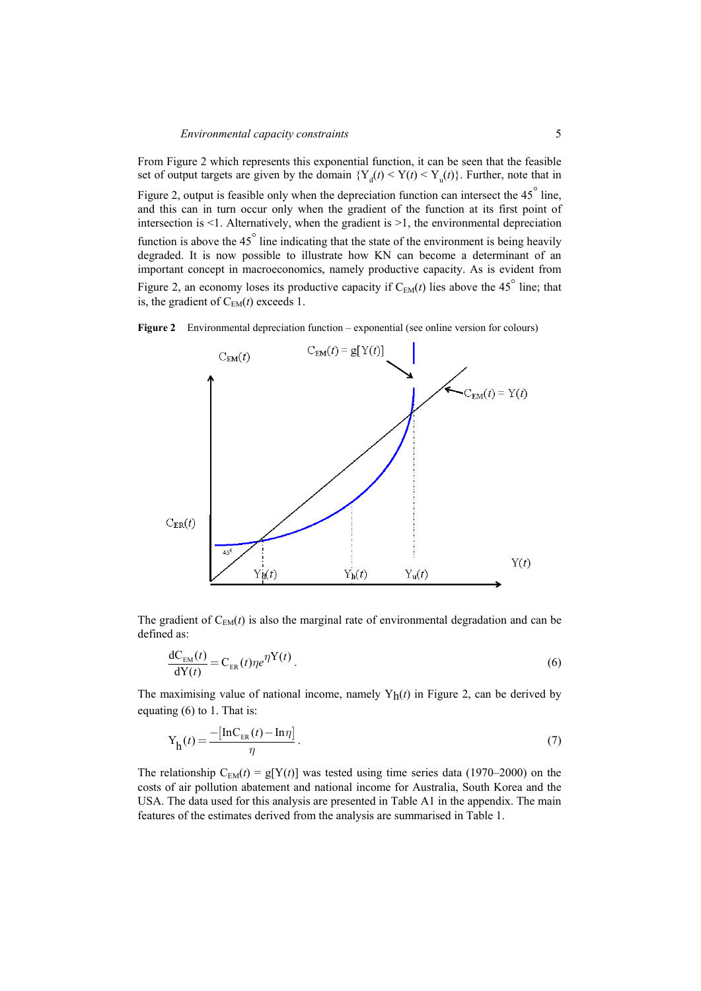From Figure 2 which represents this exponential function, it can be seen that the feasible set of output targets are given by the domain  ${Y_d(t) \le Y(t) \le Y_u(t)}$ . Further, note that in Figure 2, output is feasible only when the depreciation function can intersect the 45<sup>°</sup> line, and this can in turn occur only when the gradient of the function at its first point of intersection is  $\leq 1$ . Alternatively, when the gradient is  $\geq 1$ , the environmental depreciation function is above the 45° line indicating that the state of the environment is being heavily degraded. It is now possible to illustrate how KN can become a determinant of an important concept in macroeconomics, namely productive capacity. As is evident from Figure 2, an economy loses its productive capacity if  $C_{EM}(t)$  lies above the 45<sup>°</sup> line; that is, the gradient of  $C_{EM}(t)$  exceeds 1.





The gradient of  $C_{EM}(t)$  is also the marginal rate of environmental degradation and can be defined as:

$$
\frac{dC_{\text{EM}}(t)}{dY(t)} = C_{\text{ER}}(t)\eta e^{\eta Y(t)}.
$$
\n(6)

The maximising value of national income, namely  $Y<sub>h</sub>(t)$  in Figure 2, can be derived by equating (6) to 1. That is:

$$
Y_{h}(t) = \frac{-\left[\text{InC}_{\text{ER}}(t) - \text{In}\eta\right]}{\eta}.
$$
\n
$$
(7)
$$

The relationship  $C_{EM}(t) = g[Y(t)]$  was tested using time series data (1970–2000) on the costs of air pollution abatement and national income for Australia, South Korea and the USA. The data used for this analysis are presented in Table A1 in the appendix. The main features of the estimates derived from the analysis are summarised in Table 1.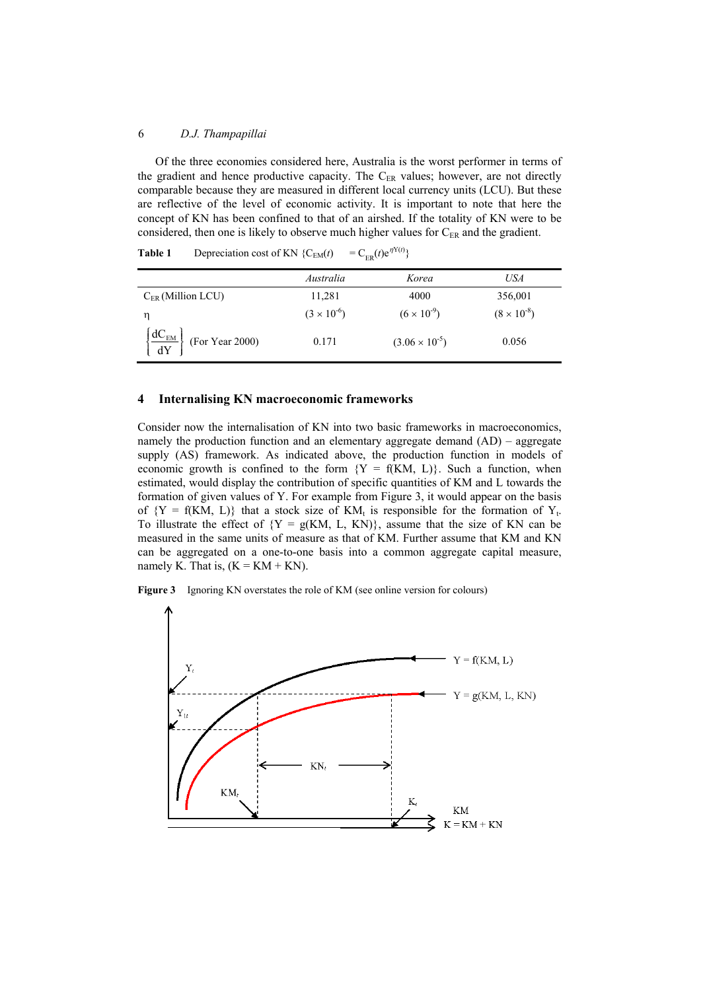Of the three economies considered here, Australia is the worst performer in terms of the gradient and hence productive capacity. The C<sub>ER</sub> values; however, are not directly comparable because they are measured in different local currency units (LCU). But these are reflective of the level of economic activity. It is important to note that here the concept of KN has been confined to that of an airshed. If the totality of KN were to be considered, then one is likely to observe much higher values for  $C_{ER}$  and the gradient.

*Australia Korea USA*  C<sub>ER</sub> (Million LCU) 11,281 4000 356,001  $(3 \times 10^{-6})$   $(6 \times 10^{-9})$   $(8 \times 10^{-8})$  $\int dC_{EM}$ dY  $\left\{\frac{dC_{EM}}{dY}\right\}$  (For Year 2000) 0.171 (3.06 × 10<sup>-5</sup>) 0.056

**Table 1** Depreciation cost of KN  ${C_{EM}(t)}$  $=C_{\text{EP}}(t)e^{\eta Y(t)}$ 

#### **4 Internalising KN macroeconomic frameworks**

Consider now the internalisation of KN into two basic frameworks in macroeconomics, namely the production function and an elementary aggregate demand (AD) – aggregate supply (AS) framework. As indicated above, the production function in models of economic growth is confined to the form  ${Y = f(KM, L)}$ . Such a function, when estimated, would display the contribution of specific quantities of KM and L towards the formation of given values of Y. For example from Figure 3, it would appear on the basis of  ${Y = f(KM, L)}$  that a stock size of  $KM_t$  is responsible for the formation of Y<sub>t</sub>. To illustrate the effect of  ${Y = g(KM, L, KN)}$ , assume that the size of KN can be measured in the same units of measure as that of KM. Further assume that KM and KN can be aggregated on a one-to-one basis into a common aggregate capital measure, namely K. That is,  $(K = KM + KN)$ .



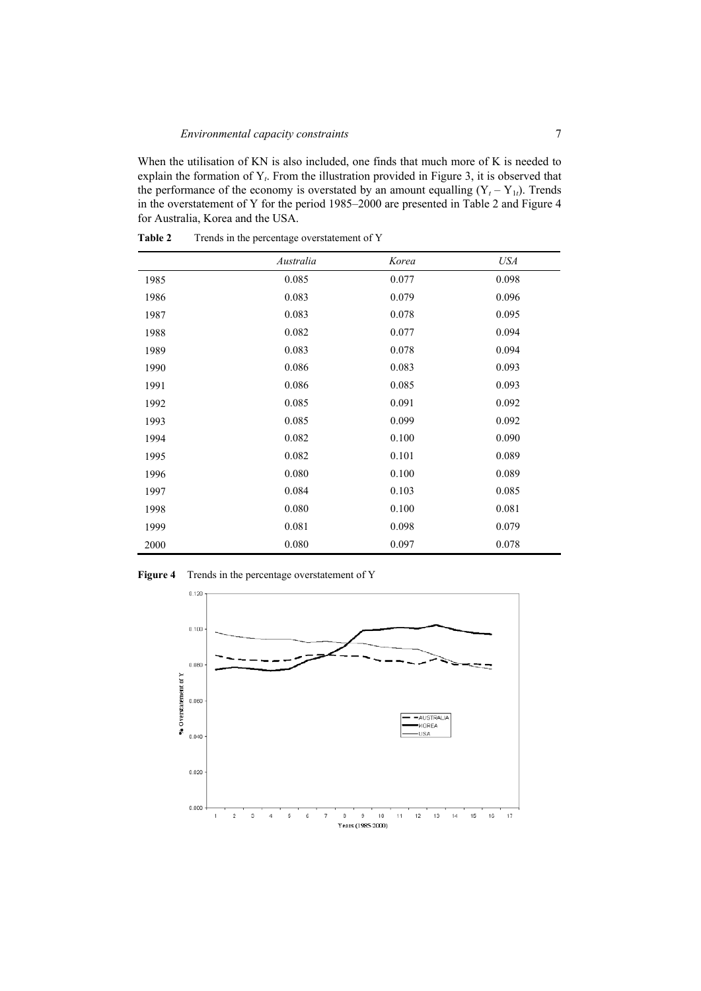When the utilisation of KN is also included, one finds that much more of K is needed to explain the formation of Y*t*. From the illustration provided in Figure 3, it is observed that the performance of the economy is overstated by an amount equalling  $(Y_t - Y_{1t})$ . Trends in the overstatement of Y for the period 1985–2000 are presented in Table 2 and Figure 4 for Australia, Korea and the USA.

|      | Australia | Korea | <b>USA</b> |
|------|-----------|-------|------------|
| 1985 | 0.085     | 0.077 | 0.098      |
| 1986 | 0.083     | 0.079 | 0.096      |
| 1987 | 0.083     | 0.078 | 0.095      |
| 1988 | 0.082     | 0.077 | 0.094      |
| 1989 | 0.083     | 0.078 | 0.094      |
| 1990 | 0.086     | 0.083 | 0.093      |
| 1991 | 0.086     | 0.085 | 0.093      |
| 1992 | 0.085     | 0.091 | 0.092      |
| 1993 | 0.085     | 0.099 | 0.092      |
| 1994 | 0.082     | 0.100 | 0.090      |
| 1995 | 0.082     | 0.101 | 0.089      |
| 1996 | 0.080     | 0.100 | 0.089      |
| 1997 | 0.084     | 0.103 | 0.085      |
| 1998 | 0.080     | 0.100 | 0.081      |
| 1999 | 0.081     | 0.098 | 0.079      |
| 2000 | 0.080     | 0.097 | 0.078      |

Table 2 Trends in the percentage overstatement of Y

**Figure 4** Trends in the percentage overstatement of Y

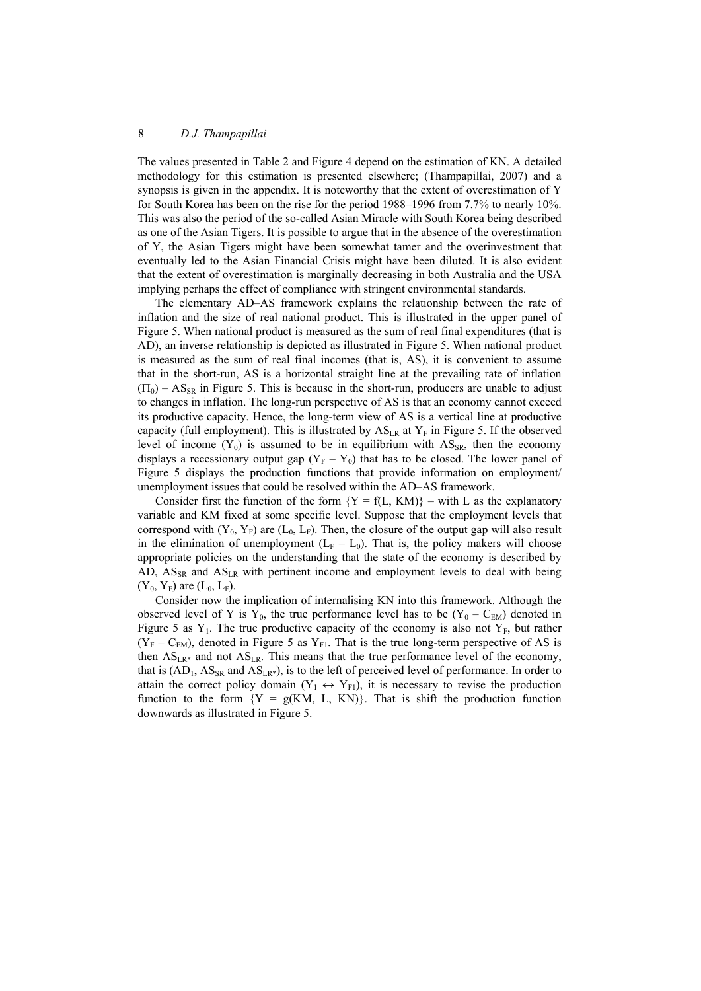The values presented in Table 2 and Figure 4 depend on the estimation of KN. A detailed methodology for this estimation is presented elsewhere; (Thampapillai, 2007) and a synopsis is given in the appendix. It is noteworthy that the extent of overestimation of Y for South Korea has been on the rise for the period 1988–1996 from 7.7% to nearly 10%. This was also the period of the so-called Asian Miracle with South Korea being described as one of the Asian Tigers. It is possible to argue that in the absence of the overestimation of Y, the Asian Tigers might have been somewhat tamer and the overinvestment that eventually led to the Asian Financial Crisis might have been diluted. It is also evident that the extent of overestimation is marginally decreasing in both Australia and the USA implying perhaps the effect of compliance with stringent environmental standards.

The elementary AD–AS framework explains the relationship between the rate of inflation and the size of real national product. This is illustrated in the upper panel of Figure 5. When national product is measured as the sum of real final expenditures (that is AD), an inverse relationship is depicted as illustrated in Figure 5. When national product is measured as the sum of real final incomes (that is, AS), it is convenient to assume that in the short-run, AS is a horizontal straight line at the prevailing rate of inflation  $(\Pi_0)$  – AS<sub>SR</sub> in Figure 5. This is because in the short-run, producers are unable to adjust to changes in inflation. The long-run perspective of AS is that an economy cannot exceed its productive capacity. Hence, the long-term view of AS is a vertical line at productive capacity (full employment). This is illustrated by  $AS<sub>LR</sub>$  at  $Y<sub>F</sub>$  in Figure 5. If the observed level of income  $(Y_0)$  is assumed to be in equilibrium with  $AS_{SR}$ , then the economy displays a recessionary output gap  $(Y_F - Y_0)$  that has to be closed. The lower panel of Figure 5 displays the production functions that provide information on employment/ unemployment issues that could be resolved within the AD–AS framework.

Consider first the function of the form  ${Y = f(L, KM)}$  – with L as the explanatory variable and KM fixed at some specific level. Suppose that the employment levels that correspond with  $(Y_0, Y_F)$  are  $(L_0, L_F)$ . Then, the closure of the output gap will also result in the elimination of unemployment  $(L_F - L_0)$ . That is, the policy makers will choose appropriate policies on the understanding that the state of the economy is described by  $AD$ ,  $AS_{SR}$  and  $AS_{LR}$  with pertinent income and employment levels to deal with being  $(Y_0, Y_F)$  are  $(L_0, L_F)$ .

Consider now the implication of internalising KN into this framework. Although the observed level of Y is Y<sub>0</sub>, the true performance level has to be  $(Y_0 - C_{FM})$  denoted in Figure 5 as  $Y_1$ . The true productive capacity of the economy is also not  $Y_F$ , but rather  $(Y_F - C_{EM})$ , denoted in Figure 5 as  $Y_{F1}$ . That is the true long-term perspective of AS is then  $AS_{LR}$ <sup>a</sup> and not  $AS_{LR}$ . This means that the true performance level of the economy, that is  $(AD_1, AS_{SR}$  and  $AS_{LR^*})$ , is to the left of perceived level of performance. In order to attain the correct policy domain  $(Y_1 \leftrightarrow Y_{F1})$ , it is necessary to revise the production function to the form  ${Y = g(KM, L, KN)}$ . That is shift the production function downwards as illustrated in Figure 5.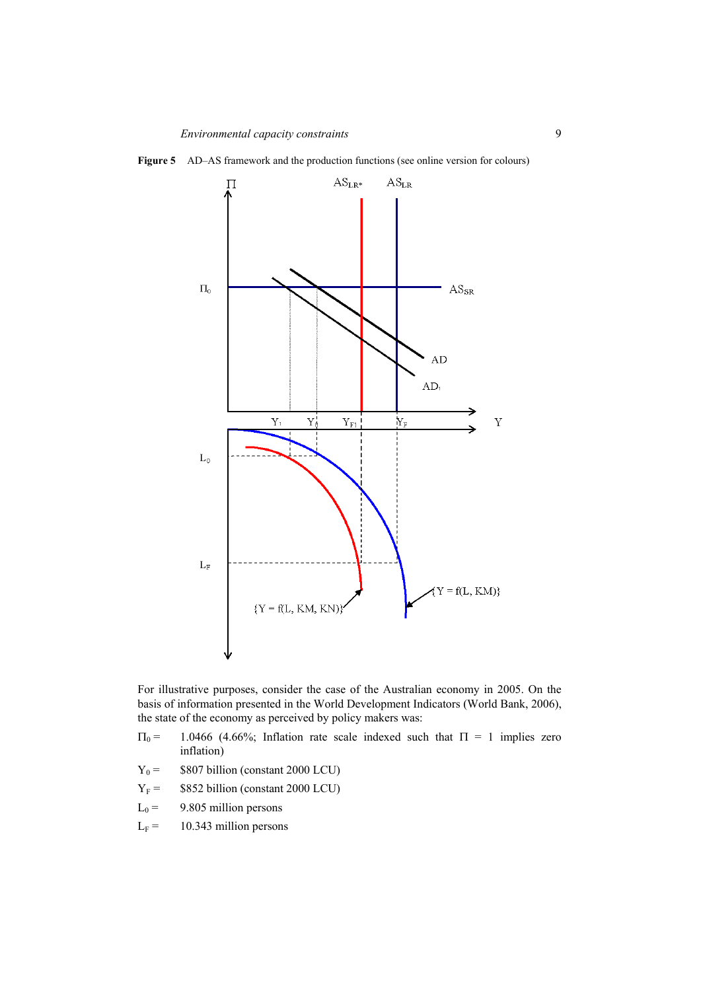

**Figure 5** AD–AS framework and the production functions (see online version for colours)

For illustrative purposes, consider the case of the Australian economy in 2005. On the basis of information presented in the World Development Indicators (World Bank, 2006), the state of the economy as perceived by policy makers was:

- $\Pi$ <sub>0</sub> = 1.0466 (4.66%; Inflation rate scale indexed such that  $\Pi$  = 1 implies zero inflation)
- $Y_0$  = \$807 billion (constant 2000 LCU)
- $Y_F$  = \$852 billion (constant 2000 LCU)
- $L_0$  = 9.805 million persons
- $L_F$  = 10.343 million persons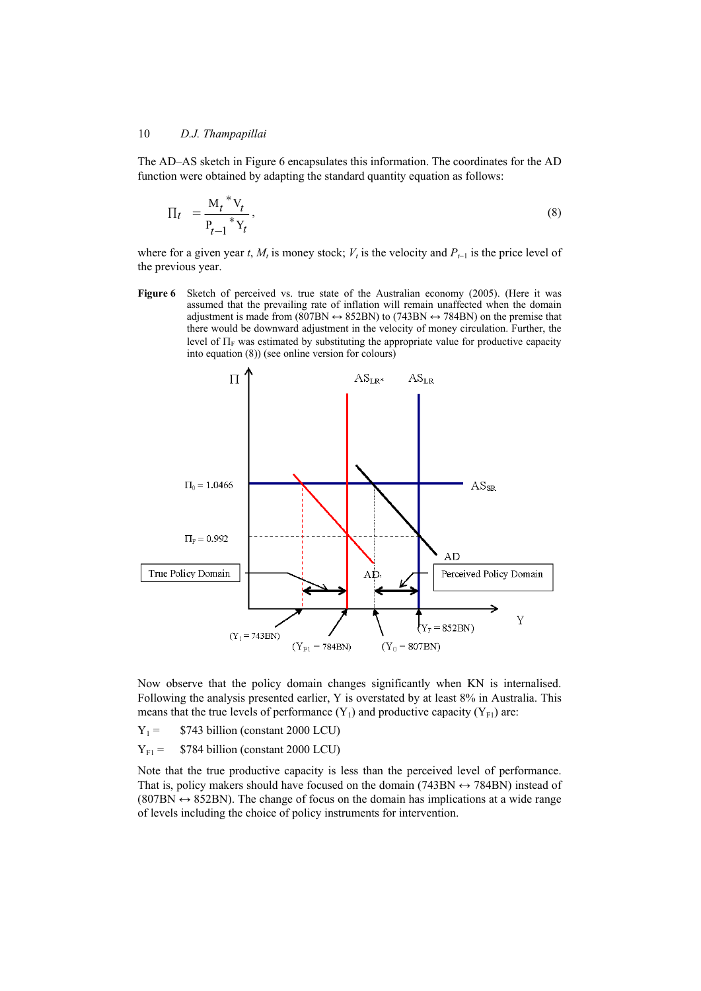The AD–AS sketch in Figure 6 encapsulates this information. The coordinates for the AD function were obtained by adapting the standard quantity equation as follows:

$$
\Pi_t = \frac{{M_t}^* V_t}{P_{t-1}^* Y_t},\tag{8}
$$

where for a given year *t*,  $M_t$  is money stock;  $V_t$  is the velocity and  $P_{t-1}$  is the price level of the previous year.

**Figure 6** Sketch of perceived vs. true state of the Australian economy (2005). (Here it was assumed that the prevailing rate of inflation will remain unaffected when the domain adjustment is made from (807BN  $\leftrightarrow$  852BN) to (743BN  $\leftrightarrow$  784BN) on the premise that there would be downward adjustment in the velocity of money circulation. Further, the level of  $\Pi_F$  was estimated by substituting the appropriate value for productive capacity into equation (8)) (see online version for colours)



Now observe that the policy domain changes significantly when KN is internalised. Following the analysis presented earlier, Y is overstated by at least 8% in Australia. This means that the true levels of performance  $(Y_1)$  and productive capacity  $(Y_{F1})$  are:

 $Y_1 =$  \$743 billion (constant 2000 LCU)

 $Y_{F1}$  = \$784 billion (constant 2000 LCU)

Note that the true productive capacity is less than the perceived level of performance. That is, policy makers should have focused on the domain (743BN  $\leftrightarrow$  784BN) instead of  $(807B\rightarrow 852B\rightarrow)$ . The change of focus on the domain has implications at a wide range of levels including the choice of policy instruments for intervention.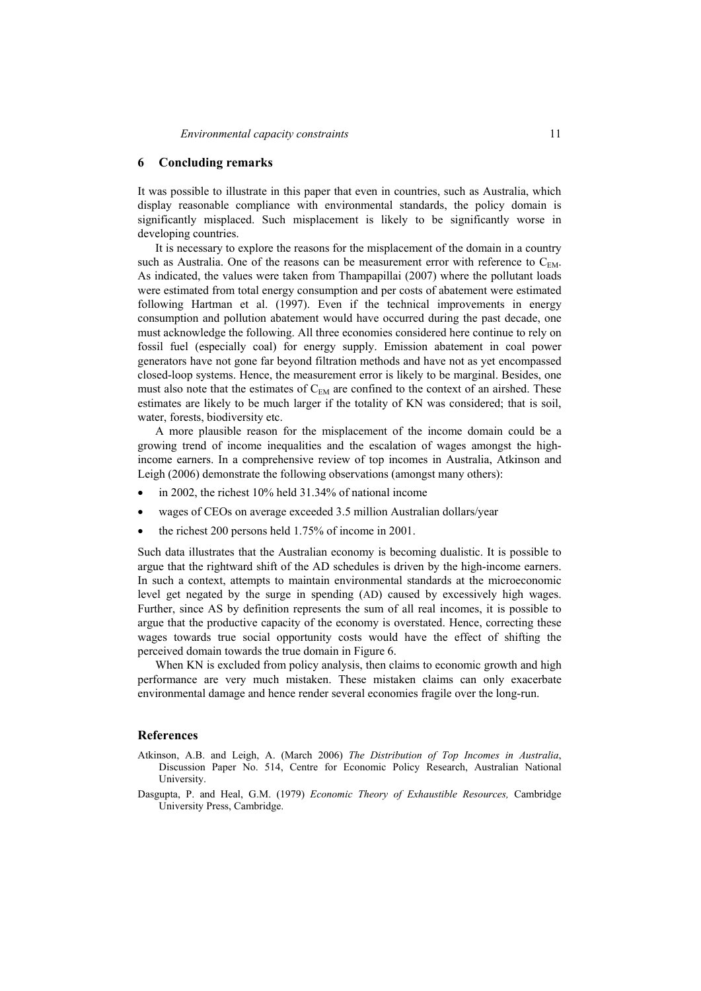### **6 Concluding remarks**

It was possible to illustrate in this paper that even in countries, such as Australia, which display reasonable compliance with environmental standards, the policy domain is significantly misplaced. Such misplacement is likely to be significantly worse in developing countries.

It is necessary to explore the reasons for the misplacement of the domain in a country such as Australia. One of the reasons can be measurement error with reference to  $C_{EM}$ . As indicated, the values were taken from Thampapillai (2007) where the pollutant loads were estimated from total energy consumption and per costs of abatement were estimated following Hartman et al. (1997). Even if the technical improvements in energy consumption and pollution abatement would have occurred during the past decade, one must acknowledge the following. All three economies considered here continue to rely on fossil fuel (especially coal) for energy supply. Emission abatement in coal power generators have not gone far beyond filtration methods and have not as yet encompassed closed-loop systems. Hence, the measurement error is likely to be marginal. Besides, one must also note that the estimates of  $C_{FM}$  are confined to the context of an airshed. These estimates are likely to be much larger if the totality of KN was considered; that is soil, water, forests, biodiversity etc.

A more plausible reason for the misplacement of the income domain could be a growing trend of income inequalities and the escalation of wages amongst the highincome earners. In a comprehensive review of top incomes in Australia, Atkinson and Leigh (2006) demonstrate the following observations (amongst many others):

- in 2002, the richest 10% held 31.34% of national income
- wages of CEOs on average exceeded 3.5 million Australian dollars/year
- the richest 200 persons held 1.75% of income in 2001.

Such data illustrates that the Australian economy is becoming dualistic. It is possible to argue that the rightward shift of the AD schedules is driven by the high-income earners. In such a context, attempts to maintain environmental standards at the microeconomic level get negated by the surge in spending (AD) caused by excessively high wages. Further, since AS by definition represents the sum of all real incomes, it is possible to argue that the productive capacity of the economy is overstated. Hence, correcting these wages towards true social opportunity costs would have the effect of shifting the perceived domain towards the true domain in Figure 6.

When KN is excluded from policy analysis, then claims to economic growth and high performance are very much mistaken. These mistaken claims can only exacerbate environmental damage and hence render several economies fragile over the long-run.

#### **References**

- Atkinson, A.B. and Leigh, A. (March 2006) *The Distribution of Top Incomes in Australia*, Discussion Paper No. 514, Centre for Economic Policy Research, Australian National University.
- Dasgupta, P. and Heal, G.M. (1979) *Economic Theory of Exhaustible Resources,* Cambridge University Press, Cambridge.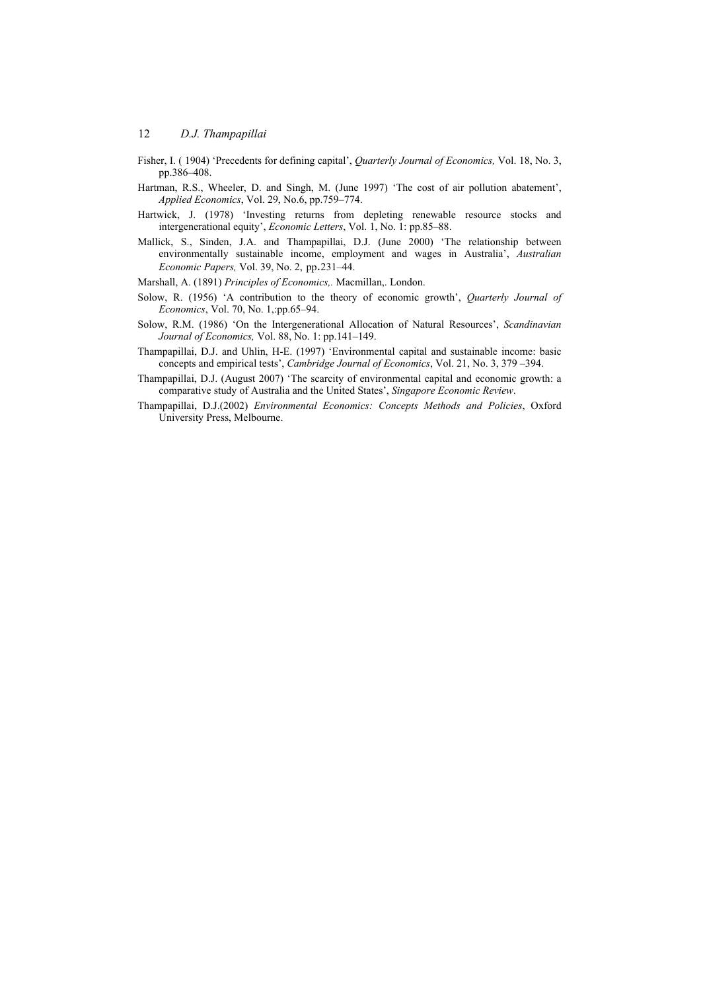- Fisher, I. ( 1904) 'Precedents for defining capital', *Quarterly Journal of Economics,* Vol. 18, No. 3, pp.386–408.
- Hartman, R.S., Wheeler, D. and Singh, M. (June 1997) 'The cost of air pollution abatement', *Applied Economics*, Vol. 29, No.6, pp.759–774.
- Hartwick, J. (1978) 'Investing returns from depleting renewable resource stocks and intergenerational equity', *Economic Letters*, Vol. 1, No. 1: pp.85–88.
- Mallick, S., Sinden, J.A. and Thampapillai, D.J. (June 2000) 'The relationship between environmentally sustainable income, employment and wages in Australia', *Australian Economic Papers,* Vol. 39, No. 2, pp.231–44.
- Marshall, A. (1891) *Principles of Economics,.* Macmillan,. London.
- Solow, R. (1956) 'A contribution to the theory of economic growth', *Quarterly Journal of Economics*, Vol. 70, No. 1,:pp.65–94.
- Solow, R.M. (1986) 'On the Intergenerational Allocation of Natural Resources', *Scandinavian Journal of Economics,* Vol. 88, No. 1: pp.141–149.
- Thampapillai, D.J. and Uhlin, H-E. (1997) 'Environmental capital and sustainable income: basic concepts and empirical tests', *Cambridge Journal of Economics*, Vol. 21, No. 3, 379 –394.
- Thampapillai, D.J. (August 2007) 'The scarcity of environmental capital and economic growth: a comparative study of Australia and the United States', *Singapore Economic Review*.
- Thampapillai, D.J.(2002) *Environmental Economics: Concepts Methods and Policies*, Oxford University Press, Melbourne.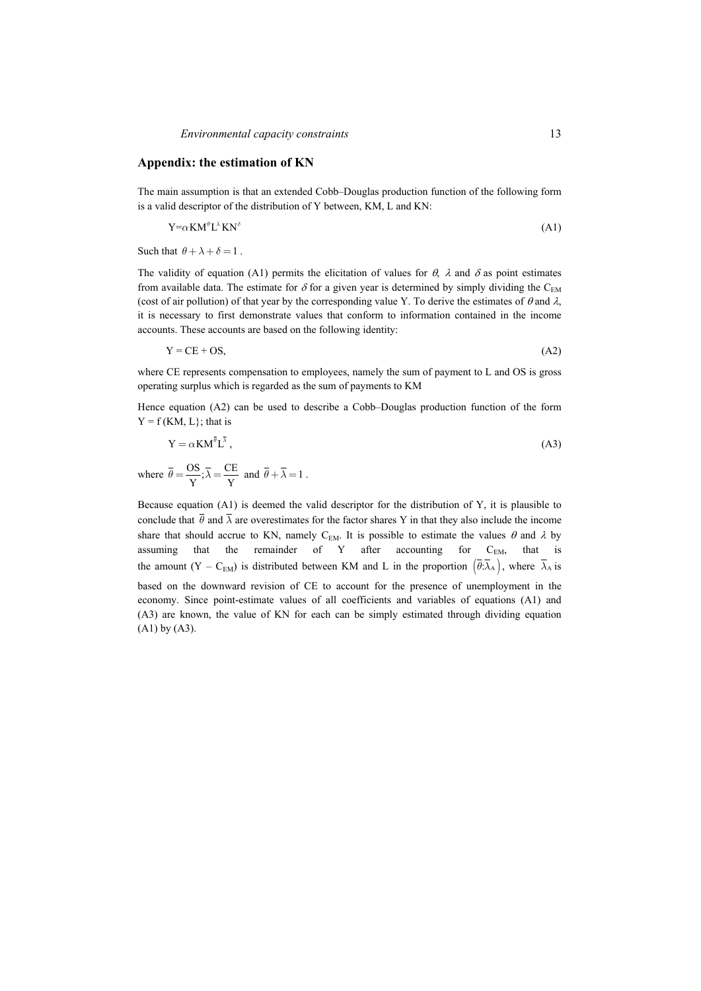*Environmental capacity constraints* 13

### **Appendix: the estimation of KN**

The main assumption is that an extended Cobb–Douglas production function of the following form is a valid descriptor of the distribution of Y between, KM, L and KN:

$$
Y = \alpha K M^{\theta} L^{\lambda} K N^{\delta} \tag{A1}
$$

Such that  $\theta + \lambda + \delta = 1$ .

The validity of equation (A1) permits the elicitation of values for  $\theta$ ,  $\lambda$  and  $\delta$  as point estimates from available data. The estimate for  $\delta$  for a given year is determined by simply dividing the C<sub>EM</sub> (cost of air pollution) of that year by the corresponding value Y. To derive the estimates of  $\theta$  and  $\lambda$ , it is necessary to first demonstrate values that conform to information contained in the income accounts. These accounts are based on the following identity:

$$
Y = CE + OS,
$$
 (A2)

where CE represents compensation to employees, namely the sum of payment to L and OS is gross operating surplus which is regarded as the sum of payments to KM

Hence equation (A2) can be used to describe a Cobb–Douglas production function of the form  $Y = f(KM, L)$ ; that is

$$
Y = \alpha K M^{\bar{\theta}} L^{\bar{\lambda}}, \tag{A3}
$$

where  $\overline{\theta} = \frac{OS}{Y}; \overline{\lambda} = \frac{CE}{Y}$  and  $\overline{\theta} + \overline{\lambda} = 1$ .

Because equation (A1) is deemed the valid descriptor for the distribution of Y, it is plausible to conclude that  $\bar{\theta}$  and  $\bar{\lambda}$  are overestimates for the factor shares Y in that they also include the income share that should accrue to KN, namely C<sub>EM</sub>. It is possible to estimate the values  $\theta$  and  $\lambda$  by assuming that the remainder of Y after accounting for  $C_{EM}$ , that is the amount  $(Y - C_{EM})$  is distributed between KM and L in the proportion  $(\bar{\theta} \cdot \bar{\lambda}_{A})$ , where  $\bar{\lambda}_{A}$  is based on the downward revision of CE to account for the presence of unemployment in the economy. Since point-estimate values of all coefficients and variables of equations (A1) and (A3) are known, the value of KN for each can be simply estimated through dividing equation (A1) by (A3).